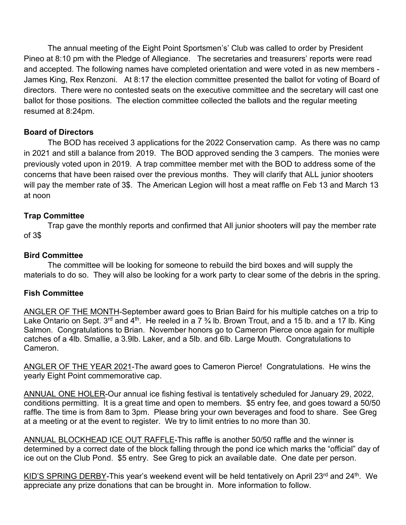The annual meeting of the Eight Point Sportsmen's' Club was called to order by President Pineo at 8:10 pm with the Pledge of Allegiance. The secretaries and treasurers' reports were read and accepted. The following names have completed orientation and were voted in as new members - James King, Rex Renzoni. At 8:17 the election committee presented the ballot for voting of Board of directors. There were no contested seats on the executive committee and the secretary will cast one ballot for those positions. The election committee collected the ballots and the regular meeting resumed at 8:24pm.

# **Board of Directors**

The BOD has received 3 applications for the 2022 Conservation camp. As there was no camp in 2021 and still a balance from 2019. The BOD approved sending the 3 campers. The monies were previously voted upon in 2019. A trap committee member met with the BOD to address some of the concerns that have been raised over the previous months. They will clarify that ALL junior shooters will pay the member rate of 3\$. The American Legion will host a meat raffle on Feb 13 and March 13 at noon

# **Trap Committee**

Trap gave the monthly reports and confirmed that All junior shooters will pay the member rate of 3\$

### **Bird Committee**

The committee will be looking for someone to rebuild the bird boxes and will supply the materials to do so. They will also be looking for a work party to clear some of the debris in the spring.

# **Fish Committee**

ANGLER OF THE MONTH-September award goes to Brian Baird for his multiple catches on a trip to Lake Ontario on Sept.  $3^{rd}$  and  $4^{th}$ . He reeled in a 7  $\frac{3}{4}$  lb. Brown Trout, and a 15 lb. and a 17 lb. King Salmon. Congratulations to Brian. November honors go to Cameron Pierce once again for multiple catches of a 4lb. Smallie, a 3.9lb. Laker, and a 5lb. and 6lb. Large Mouth. Congratulations to Cameron.

ANGLER OF THE YEAR 2021-The award goes to Cameron Pierce! Congratulations. He wins the yearly Eight Point commemorative cap.

ANNUAL ONE HOLER-Our annual ice fishing festival is tentatively scheduled for January 29, 2022, conditions permitting. It is a great time and open to members. \$5 entry fee, and goes toward a 50/50 raffle. The time is from 8am to 3pm. Please bring your own beverages and food to share. See Greg at a meeting or at the event to register. We try to limit entries to no more than 30.

ANNUAL BLOCKHEAD ICE OUT RAFFLE-This raffle is another 50/50 raffle and the winner is determined by a correct date of the block falling through the pond ice which marks the "official" day of ice out on the Club Pond. \$5 entry. See Greg to pick an available date. One date per person.

KID'S SPRING DERBY-This year's weekend event will be held tentatively on April 23<sup>rd</sup> and 24<sup>th</sup>. We appreciate any prize donations that can be brought in. More information to follow.